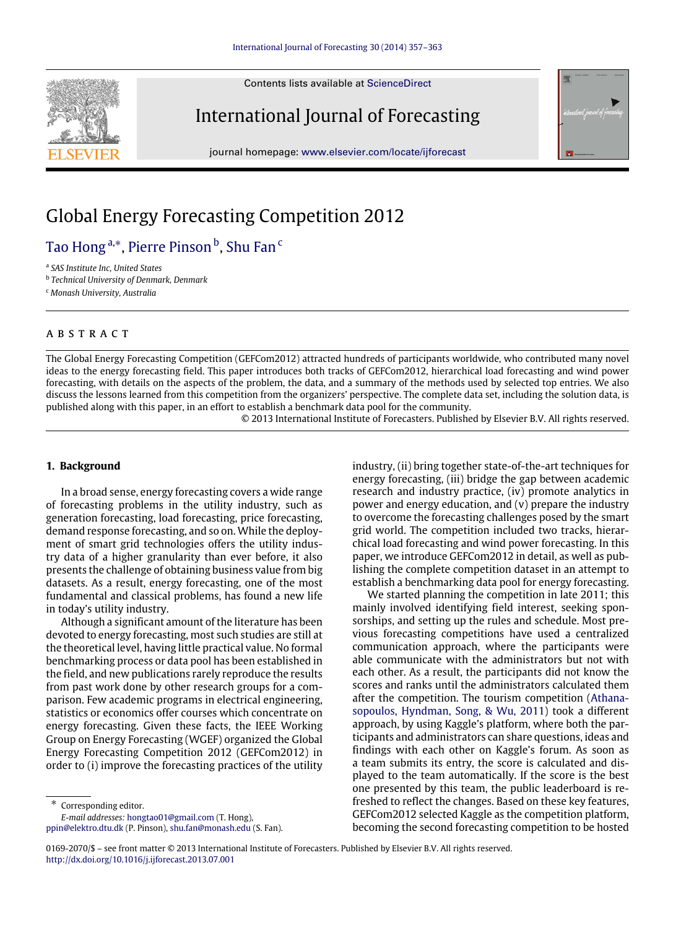Contents lists available at [ScienceDirect](http://www.elsevier.com/locate/ijforecast)



# International Journal of Forecasting

journal homepage: [www.elsevier.com/locate/ijforecast](http://www.elsevier.com/locate/ijforecast)



# Global Energy Forecasting Competition 2012

[Tao Hong](#page-6-0)<sup>[a,](#page-0-0)</sup>\*, [Pierre Pinson](#page-6-1) <sup>[b](#page-0-2)</sup>, [Shu Fan](#page-6-2) <sup>[c](#page-0-3)</sup>

<span id="page-0-0"></span>a *SAS Institute Inc, United States*

<span id="page-0-2"></span>b *Technical University of Denmark, Denmark*

<span id="page-0-3"></span><sup>c</sup> *Monash University, Australia*

# a b s t r a c t

The Global Energy Forecasting Competition (GEFCom2012) attracted hundreds of participants worldwide, who contributed many novel ideas to the energy forecasting field. This paper introduces both tracks of GEFCom2012, hierarchical load forecasting and wind power forecasting, with details on the aspects of the problem, the data, and a summary of the methods used by selected top entries. We also discuss the lessons learned from this competition from the organizers' perspective. The complete data set, including the solution data, is published along with this paper, in an effort to establish a benchmark data pool for the community.

© 2013 International Institute of Forecasters. Published by Elsevier B.V. All rights reserved.

# **1. Background**

In a broad sense, energy forecasting covers a wide range of forecasting problems in the utility industry, such as generation forecasting, load forecasting, price forecasting, demand response forecasting, and so on. While the deployment of smart grid technologies offers the utility industry data of a higher granularity than ever before, it also presents the challenge of obtaining business value from big datasets. As a result, energy forecasting, one of the most fundamental and classical problems, has found a new life in today's utility industry.

Although a significant amount of the literature has been devoted to energy forecasting, most such studies are still at the theoretical level, having little practical value. No formal benchmarking process or data pool has been established in the field, and new publications rarely reproduce the results from past work done by other research groups for a comparison. Few academic programs in electrical engineering, statistics or economics offer courses which concentrate on energy forecasting. Given these facts, the IEEE Working Group on Energy Forecasting (WGEF) organized the Global Energy Forecasting Competition 2012 (GEFCom2012) in order to (i) improve the forecasting practices of the utility

<span id="page-0-1"></span>∗ Corresponding editor.

*E-mail addresses:* [hongtao01@gmail.com](mailto:hongtao01@gmail.com) (T. Hong),

[ppin@elektro.dtu.dk](mailto:ppin@elektro.dtu.dk) (P. Pinson), [shu.fan@monash.edu](mailto:shu.fan@monash.edu) (S. Fan).

industry, (ii) bring together state-of-the-art techniques for energy forecasting, (iii) bridge the gap between academic research and industry practice, (iv) promote analytics in power and energy education, and (v) prepare the industry to overcome the forecasting challenges posed by the smart grid world. The competition included two tracks, hierarchical load forecasting and wind power forecasting. In this paper, we introduce GEFCom2012 in detail, as well as publishing the complete competition dataset in an attempt to establish a benchmarking data pool for energy forecasting.

We started planning the competition in late 2011; this mainly involved identifying field interest, seeking sponsorships, and setting up the rules and schedule. Most previous forecasting competitions have used a centralized communication approach, where the participants were able communicate with the administrators but not with each other. As a result, the participants did not know the scores and ranks until the administrators calculated them [a](#page-6-3)fter the competition. The tourism competition [\(Athana](#page-6-3)[sopoulos,](#page-6-3) [Hyndman,](#page-6-3) [Song,](#page-6-3) [&](#page-6-3) [Wu,](#page-6-3) [2011\)](#page-6-3) took a different approach, by using Kaggle's platform, where both the participants and administrators can share questions, ideas and findings with each other on Kaggle's forum. As soon as a team submits its entry, the score is calculated and displayed to the team automatically. If the score is the best one presented by this team, the public leaderboard is refreshed to reflect the changes. Based on these key features, GEFCom2012 selected Kaggle as the competition platform, becoming the second forecasting competition to be hosted

<sup>0169-2070/\$ –</sup> see front matter © 2013 International Institute of Forecasters. Published by Elsevier B.V. All rights reserved. <http://dx.doi.org/10.1016/j.ijforecast.2013.07.001>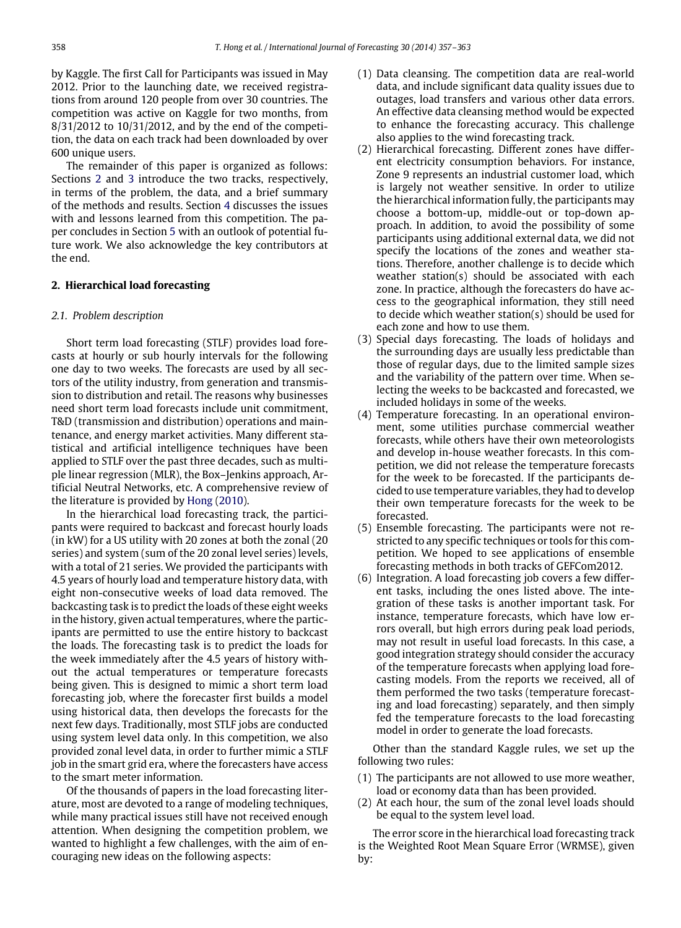by Kaggle. The first Call for Participants was issued in May 2012. Prior to the launching date, we received registrations from around 120 people from over 30 countries. The competition was active on Kaggle for two months, from 8/31/2012 to 10/31/2012, and by the end of the competition, the data on each track had been downloaded by over 600 unique users.

The remainder of this paper is organized as follows: Sections [2](#page-1-0) and [3](#page-2-0) introduce the two tracks, respectively, in terms of the problem, the data, and a brief summary of the methods and results. Section [4](#page-4-0) discusses the issues with and lessons learned from this competition. The paper concludes in Section [5](#page-6-4) with an outlook of potential future work. We also acknowledge the key contributors at the end.

# <span id="page-1-0"></span>**2. Hierarchical load forecasting**

# *2.1. Problem description*

Short term load forecasting (STLF) provides load forecasts at hourly or sub hourly intervals for the following one day to two weeks. The forecasts are used by all sectors of the utility industry, from generation and transmission to distribution and retail. The reasons why businesses need short term load forecasts include unit commitment, T&D (transmission and distribution) operations and maintenance, and energy market activities. Many different statistical and artificial intelligence techniques have been applied to STLF over the past three decades, such as multiple linear regression (MLR), the Box–Jenkins approach, Artificial Neutral Networks, etc. A comprehensive review of the literature is provided by [Hong](#page-6-5) [\(2010\)](#page-6-5).

In the hierarchical load forecasting track, the participants were required to backcast and forecast hourly loads (in kW) for a US utility with 20 zones at both the zonal (20 series) and system (sum of the 20 zonal level series) levels, with a total of 21 series. We provided the participants with 4.5 years of hourly load and temperature history data, with eight non-consecutive weeks of load data removed. The backcasting task is to predict the loads of these eight weeks in the history, given actual temperatures, where the participants are permitted to use the entire history to backcast the loads. The forecasting task is to predict the loads for the week immediately after the 4.5 years of history without the actual temperatures or temperature forecasts being given. This is designed to mimic a short term load forecasting job, where the forecaster first builds a model using historical data, then develops the forecasts for the next few days. Traditionally, most STLF jobs are conducted using system level data only. In this competition, we also provided zonal level data, in order to further mimic a STLF job in the smart grid era, where the forecasters have access to the smart meter information.

Of the thousands of papers in the load forecasting literature, most are devoted to a range of modeling techniques, while many practical issues still have not received enough attention. When designing the competition problem, we wanted to highlight a few challenges, with the aim of encouraging new ideas on the following aspects:

- (1) Data cleansing. The competition data are real-world data, and include significant data quality issues due to outages, load transfers and various other data errors. An effective data cleansing method would be expected to enhance the forecasting accuracy. This challenge also applies to the wind forecasting track.
- (2) Hierarchical forecasting. Different zones have different electricity consumption behaviors. For instance, Zone 9 represents an industrial customer load, which is largely not weather sensitive. In order to utilize the hierarchical information fully, the participants may choose a bottom-up, middle-out or top-down approach. In addition, to avoid the possibility of some participants using additional external data, we did not specify the locations of the zones and weather stations. Therefore, another challenge is to decide which weather station(s) should be associated with each zone. In practice, although the forecasters do have access to the geographical information, they still need to decide which weather station(s) should be used for each zone and how to use them.
- (3) Special days forecasting. The loads of holidays and the surrounding days are usually less predictable than those of regular days, due to the limited sample sizes and the variability of the pattern over time. When selecting the weeks to be backcasted and forecasted, we included holidays in some of the weeks.
- (4) Temperature forecasting. In an operational environment, some utilities purchase commercial weather forecasts, while others have their own meteorologists and develop in-house weather forecasts. In this competition, we did not release the temperature forecasts for the week to be forecasted. If the participants decided to use temperature variables, they had to develop their own temperature forecasts for the week to be forecasted.
- (5) Ensemble forecasting. The participants were not restricted to any specific techniques or tools for this competition. We hoped to see applications of ensemble forecasting methods in both tracks of GEFCom2012.
- (6) Integration. A load forecasting job covers a few different tasks, including the ones listed above. The integration of these tasks is another important task. For instance, temperature forecasts, which have low errors overall, but high errors during peak load periods, may not result in useful load forecasts. In this case, a good integration strategy should consider the accuracy of the temperature forecasts when applying load forecasting models. From the reports we received, all of them performed the two tasks (temperature forecasting and load forecasting) separately, and then simply fed the temperature forecasts to the load forecasting model in order to generate the load forecasts.

Other than the standard Kaggle rules, we set up the following two rules:

- (1) The participants are not allowed to use more weather, load or economy data than has been provided.
- (2) At each hour, the sum of the zonal level loads should be equal to the system level load.

The error score in the hierarchical load forecasting track is the Weighted Root Mean Square Error (WRMSE), given by: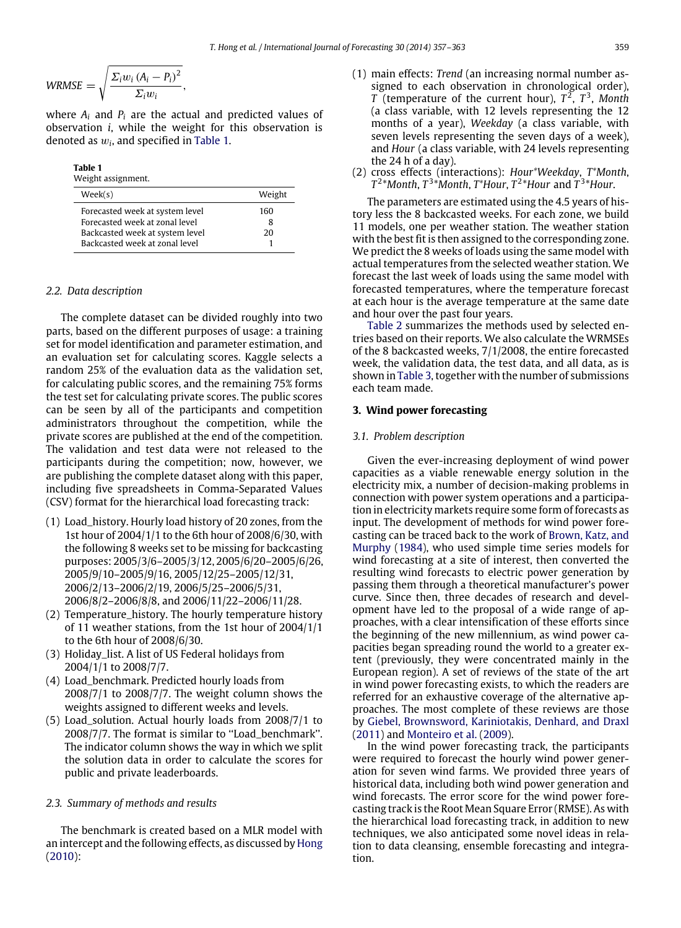$$
WRMSE = \sqrt{\frac{\Sigma_i w_i (A_i - P_i)^2}{\Sigma_i w_i}},
$$

where *A<sup>i</sup>* and *P<sup>i</sup>* are the actual and predicted values of observation *i*, while the weight for this observation is denoted as  $w_i$ , and specified in [Table 1.](#page-2-1)  $\,$ 

<span id="page-2-1"></span>**Table 1**

| Weight assignment.                                                                                                                     |                |
|----------------------------------------------------------------------------------------------------------------------------------------|----------------|
| Week(s)                                                                                                                                | Weight         |
| Forecasted week at system level<br>Forecasted week at zonal level<br>Backcasted week at system level<br>Backcasted week at zonal level | 160<br>8<br>20 |

# *2.2. Data description*

The complete dataset can be divided roughly into two parts, based on the different purposes of usage: a training set for model identification and parameter estimation, and an evaluation set for calculating scores. Kaggle selects a random 25% of the evaluation data as the validation set, for calculating public scores, and the remaining 75% forms the test set for calculating private scores. The public scores can be seen by all of the participants and competition administrators throughout the competition, while the private scores are published at the end of the competition. The validation and test data were not released to the participants during the competition; now, however, we are publishing the complete dataset along with this paper, including five spreadsheets in Comma-Separated Values (CSV) format for the hierarchical load forecasting track:

- (1) Load\_history. Hourly load history of 20 zones, from the 1st hour of 2004/1/1 to the 6th hour of 2008/6/30, with the following 8 weeks set to be missing for backcasting purposes: 2005/3/6–2005/3/12, 2005/6/20–2005/6/26, 2005/9/10–2005/9/16, 2005/12/25–2005/12/31, 2006/2/13–2006/2/19, 2006/5/25–2006/5/31, 2006/8/2–2006/8/8, and 2006/11/22–2006/11/28.
- (2) Temperature\_history. The hourly temperature history of 11 weather stations, from the 1st hour of 2004/1/1 to the 6th hour of 2008/6/30.
- (3) Holiday\_list. A list of US Federal holidays from 2004/1/1 to 2008/7/7.
- (4) Load\_benchmark. Predicted hourly loads from 2008/7/1 to 2008/7/7. The weight column shows the weights assigned to different weeks and levels.
- (5) Load\_solution. Actual hourly loads from 2008/7/1 to 2008/7/7. The format is similar to ''Load\_benchmark''. The indicator column shows the way in which we split the solution data in order to calculate the scores for public and private leaderboards.

# *2.3. Summary of methods and results*

The benchmark is created based on a MLR model with an intercept and the following effects, as discussed by [Hong](#page-6-5) [\(2010\)](#page-6-5):

- (1) main effects: *Trend* (an increasing normal number assigned to each observation in chronological order), *T* (temperature of the current hour),  $T^2$ ,  $T^3$ , Month (a class variable, with 12 levels representing the 12 months of a year), *Weekday* (a class variable, with seven levels representing the seven days of a week), and *Hour* (a class variable, with 24 levels representing the 24 h of a day).
- (2) cross effects (interactions): *Hour\*Weekday*, *T\*Month*, *T* 2 \**Month*, *T* 3 \**Month*, *T\*Hour*, *T* 2 \**Hour* and *T* 3 \**Hour*.

The parameters are estimated using the 4.5 years of history less the 8 backcasted weeks. For each zone, we build 11 models, one per weather station. The weather station with the best fit is then assigned to the corresponding zone. We predict the 8 weeks of loads using the same model with actual temperatures from the selected weather station. We forecast the last week of loads using the same model with forecasted temperatures, where the temperature forecast at each hour is the average temperature at the same date and hour over the past four years.

[Table 2](#page-3-0) summarizes the methods used by selected entries based on their reports. We also calculate the WRMSEs of the 8 backcasted weeks, 7/1/2008, the entire forecasted week, the validation data, the test data, and all data, as is shown in [Table 3,](#page-4-1) together with the number of submissions each team made.

# <span id="page-2-0"></span>**3. Wind power forecasting**

### *3.1. Problem description*

Given the ever-increasing deployment of wind power capacities as a viable renewable energy solution in the electricity mix, a number of decision-making problems in connection with power system operations and a participation in electricity markets require some form of forecasts as input. The development of methods for wind power forecasting can be traced back to the work of [Brown,](#page-6-6) [Katz,](#page-6-6) [and](#page-6-6) [Murphy](#page-6-6) [\(1984\)](#page-6-6), who used simple time series models for wind forecasting at a site of interest, then converted the resulting wind forecasts to electric power generation by passing them through a theoretical manufacturer's power curve. Since then, three decades of research and development have led to the proposal of a wide range of approaches, with a clear intensification of these efforts since the beginning of the new millennium, as wind power capacities began spreading round the world to a greater extent (previously, they were concentrated mainly in the European region). A set of reviews of the state of the art in wind power forecasting exists, to which the readers are referred for an exhaustive coverage of the alternative approaches. The most complete of these reviews are those by [Giebel,](#page-6-7) [Brownsword,](#page-6-7) [Kariniotakis,](#page-6-7) [Denhard,](#page-6-7) [and](#page-6-7) [Draxl](#page-6-7) [\(2011\)](#page-6-7) and [Monteiro](#page-6-8) [et al.](#page-6-8) [\(2009\)](#page-6-8).

In the wind power forecasting track, the participants were required to forecast the hourly wind power generation for seven wind farms. We provided three years of historical data, including both wind power generation and wind forecasts. The error score for the wind power forecasting track is the Root Mean Square Error (RMSE). As with the hierarchical load forecasting track, in addition to new techniques, we also anticipated some novel ideas in relation to data cleansing, ensemble forecasting and integration.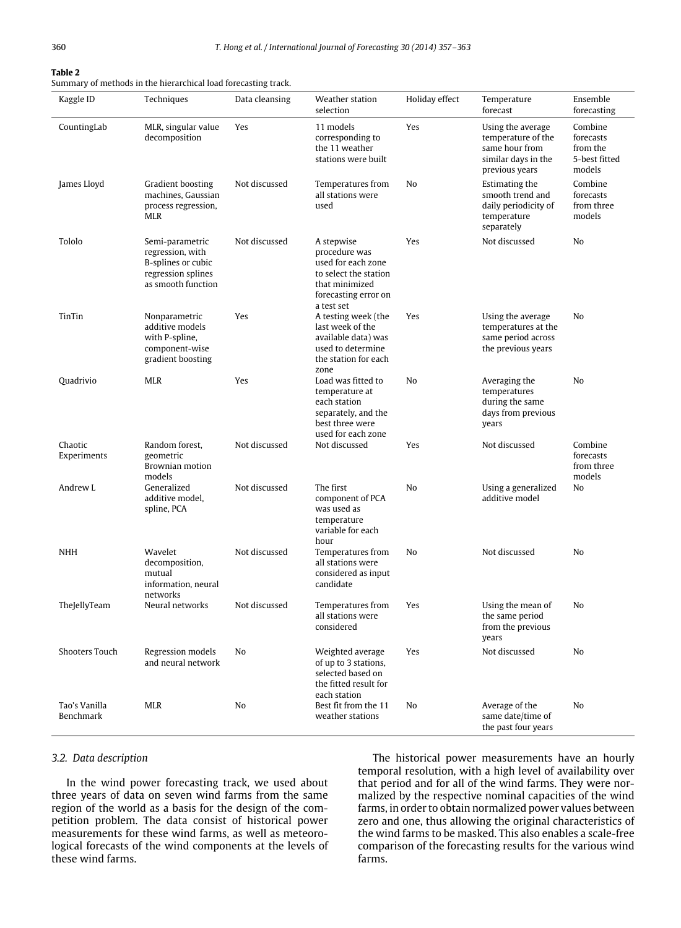#### <span id="page-3-0"></span>**Table 2**

Summary of methods in the hierarchical load forecasting track.

| Kaggle ID                  | Techniques                                                                                            | Data cleansing | Weather station<br>selection                                                                                                       | Holiday effect |                                                                                                    | Ensemble<br>forecasting                                     |
|----------------------------|-------------------------------------------------------------------------------------------------------|----------------|------------------------------------------------------------------------------------------------------------------------------------|----------------|----------------------------------------------------------------------------------------------------|-------------------------------------------------------------|
| CountingLab                | MLR, singular value<br>decomposition                                                                  | Yes            | 11 models<br>corresponding to<br>the 11 weather<br>stations were built                                                             | Yes            | Using the average<br>temperature of the<br>same hour from<br>similar days in the<br>previous years | Combine<br>forecasts<br>from the<br>5-best fitted<br>models |
| James Lloyd                | Gradient boosting<br>machines, Gaussian<br>process regression,<br><b>MLR</b>                          | Not discussed  | Temperatures from<br>all stations were<br>used                                                                                     | No             | Estimating the<br>smooth trend and<br>daily periodicity of<br>temperature<br>separately            | Combine<br>forecasts<br>from three<br>models                |
| Tololo                     | Semi-parametric<br>regression, with<br>B-splines or cubic<br>regression splines<br>as smooth function | Not discussed  | A stepwise<br>procedure was<br>used for each zone<br>to select the station<br>that minimized<br>forecasting error on<br>a test set | Yes            | Not discussed                                                                                      | No                                                          |
| TinTin                     | Nonparametric<br>additive models<br>with P-spline,<br>component-wise<br>gradient boosting             | Yes            | A testing week (the<br>last week of the<br>available data) was<br>used to determine<br>the station for each<br>zone                | Yes            | Using the average<br>temperatures at the<br>same period across<br>the previous years               | N <sub>0</sub>                                              |
| Quadrivio                  | MLR                                                                                                   | Yes            | Load was fitted to<br>temperature at<br>each station<br>separately, and the<br>best three were<br>used for each zone               | No             | Averaging the<br>temperatures<br>during the same<br>days from previous<br>years                    | N <sub>0</sub>                                              |
| Chaotic<br>Experiments     | Random forest,<br>geometric<br><b>Brownian motion</b><br>models                                       | Not discussed  | Not discussed                                                                                                                      | Yes            | Not discussed                                                                                      | Combine<br>forecasts<br>from three<br>models                |
| Andrew L                   | Generalized<br>additive model,<br>spline, PCA                                                         | Not discussed  | The first<br>component of PCA<br>was used as<br>temperature<br>variable for each<br>hour                                           | No             | Using a generalized<br>additive model                                                              | N <sub>o</sub>                                              |
| <b>NHH</b>                 | Wavelet<br>decomposition,<br>mutual<br>information, neural<br>networks                                | Not discussed  | Temperatures from<br>all stations were<br>considered as input<br>candidate                                                         | No             | Not discussed                                                                                      | No                                                          |
| TheJellyTeam               | Neural networks                                                                                       | Not discussed  | Temperatures from<br>all stations were<br>considered                                                                               | Yes            | Using the mean of<br>the same period<br>from the previous<br>years                                 | No                                                          |
| <b>Shooters Touch</b>      | Regression models<br>and neural network                                                               | N <sub>o</sub> | Weighted average<br>of up to 3 stations,<br>selected based on<br>the fitted result for<br>each station                             | Yes            | Not discussed                                                                                      | N <sub>0</sub>                                              |
| Tao's Vanilla<br>Benchmark | <b>MLR</b>                                                                                            | No             | Best fit from the 11<br>weather stations                                                                                           | No             | Average of the<br>same date/time of<br>the past four years                                         | N <sub>o</sub>                                              |

# *3.2. Data description*

In the wind power forecasting track, we used about three years of data on seven wind farms from the same region of the world as a basis for the design of the competition problem. The data consist of historical power measurements for these wind farms, as well as meteorological forecasts of the wind components at the levels of these wind farms.

The historical power measurements have an hourly temporal resolution, with a high level of availability over that period and for all of the wind farms. They were normalized by the respective nominal capacities of the wind farms, in order to obtain normalized power values between zero and one, thus allowing the original characteristics of the wind farms to be masked. This also enables a scale-free comparison of the forecasting results for the various wind farms.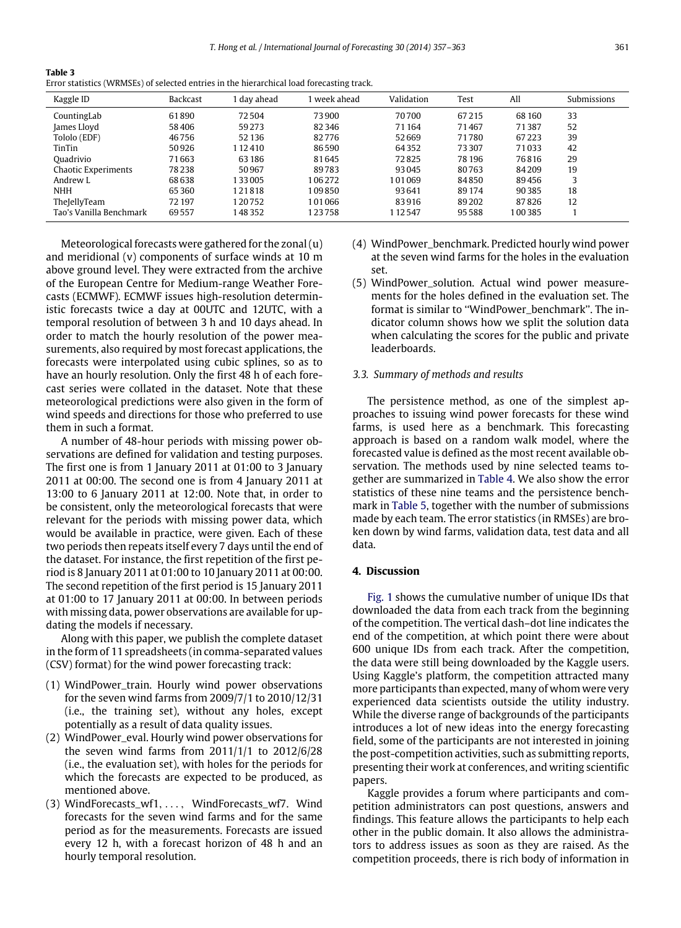<span id="page-4-1"></span>**Table 3** Error statistics (WRMSEs) of selected entries in the hierarchical load forecasting track.

| Kaggle ID               | Backcast | day ahead | week ahead | Validation | Test    | All    | Submissions |
|-------------------------|----------|-----------|------------|------------|---------|--------|-------------|
| CountingLab             | 61890    | 72504     | 73900      | 70700      | 67215   | 68 160 | 33          |
| James Lloyd             | 58406    | 59273     | 82346      | 71164      | 71467   | 71387  | 52          |
| Tololo (EDF)            | 46756    | 52 136    | 82776      | 52669      | 71780   | 67223  | 39          |
| TinTin                  | 50926    | 1 12 4 10 | 86590      | 64352      | 73307   | 71033  | 42          |
| Quadrivio               | 71663    | 63 186    | 81645      | 72825      | 78 196  | 76816  | 29          |
| Chaotic Experiments     | 78238    | 50967     | 89783      | 93045      | 80763   | 84209  | 19          |
| Andrew L                | 68 638   | 133005    | 106272     | 101069     | 84850   | 89456  |             |
| <b>NHH</b>              | 65 3 60  | 121818    | 109850     | 93641      | 89174   | 90385  | 18          |
| TheJellyTeam            | 72 197   | 120752    | 101066     | 83916      | 89202   | 87826  | 12          |
| Tao's Vanilla Benchmark | 69557    | 148352    | 123758     | 1 12 5 47  | 95 5 88 | 100385 |             |

Meteorological forecasts were gathered for the zonal (u) and meridional (v) components of surface winds at 10 m above ground level. They were extracted from the archive of the European Centre for Medium-range Weather Forecasts (ECMWF). ECMWF issues high-resolution deterministic forecasts twice a day at 00UTC and 12UTC, with a temporal resolution of between 3 h and 10 days ahead. In order to match the hourly resolution of the power measurements, also required by most forecast applications, the forecasts were interpolated using cubic splines, so as to have an hourly resolution. Only the first 48 h of each forecast series were collated in the dataset. Note that these meteorological predictions were also given in the form of wind speeds and directions for those who preferred to use them in such a format.

A number of 48-hour periods with missing power observations are defined for validation and testing purposes. The first one is from 1 January 2011 at 01:00 to 3 January 2011 at 00:00. The second one is from 4 January 2011 at 13:00 to 6 January 2011 at 12:00. Note that, in order to be consistent, only the meteorological forecasts that were relevant for the periods with missing power data, which would be available in practice, were given. Each of these two periods then repeats itself every 7 days until the end of the dataset. For instance, the first repetition of the first period is 8 January 2011 at 01:00 to 10 January 2011 at 00:00. The second repetition of the first period is 15 January 2011 at 01:00 to 17 January 2011 at 00:00. In between periods with missing data, power observations are available for updating the models if necessary.

Along with this paper, we publish the complete dataset in the form of 11 spreadsheets (in comma-separated values (CSV) format) for the wind power forecasting track:

- (1) WindPower\_train. Hourly wind power observations for the seven wind farms from 2009/7/1 to 2010/12/31 (i.e., the training set), without any holes, except potentially as a result of data quality issues.
- (2) WindPower\_eval. Hourly wind power observations for the seven wind farms from 2011/1/1 to 2012/6/28 (i.e., the evaluation set), with holes for the periods for which the forecasts are expected to be produced, as mentioned above.
- (3) WindForecasts\_wf1, . . . , WindForecasts\_wf7. Wind forecasts for the seven wind farms and for the same period as for the measurements. Forecasts are issued every 12 h, with a forecast horizon of 48 h and an hourly temporal resolution.
- (4) WindPower\_benchmark. Predicted hourly wind power at the seven wind farms for the holes in the evaluation set.
- (5) WindPower\_solution. Actual wind power measurements for the holes defined in the evaluation set. The format is similar to ''WindPower\_benchmark''. The indicator column shows how we split the solution data when calculating the scores for the public and private leaderboards.

# *3.3. Summary of methods and results*

The persistence method, as one of the simplest approaches to issuing wind power forecasts for these wind farms, is used here as a benchmark. This forecasting approach is based on a random walk model, where the forecasted value is defined as the most recent available observation. The methods used by nine selected teams together are summarized in [Table 4.](#page-5-0) We also show the error statistics of these nine teams and the persistence benchmark in [Table 5,](#page-5-1) together with the number of submissions made by each team. The error statistics (in RMSEs) are broken down by wind farms, validation data, test data and all data.

# <span id="page-4-0"></span>**4. Discussion**

[Fig. 1](#page-5-2) shows the cumulative number of unique IDs that downloaded the data from each track from the beginning of the competition. The vertical dash–dot line indicates the end of the competition, at which point there were about 600 unique IDs from each track. After the competition, the data were still being downloaded by the Kaggle users. Using Kaggle's platform, the competition attracted many more participants than expected, many of whom were very experienced data scientists outside the utility industry. While the diverse range of backgrounds of the participants introduces a lot of new ideas into the energy forecasting field, some of the participants are not interested in joining the post-competition activities, such as submitting reports, presenting their work at conferences, and writing scientific papers.

Kaggle provides a forum where participants and competition administrators can post questions, answers and findings. This feature allows the participants to help each other in the public domain. It also allows the administrators to address issues as soon as they are raised. As the competition proceeds, there is rich body of information in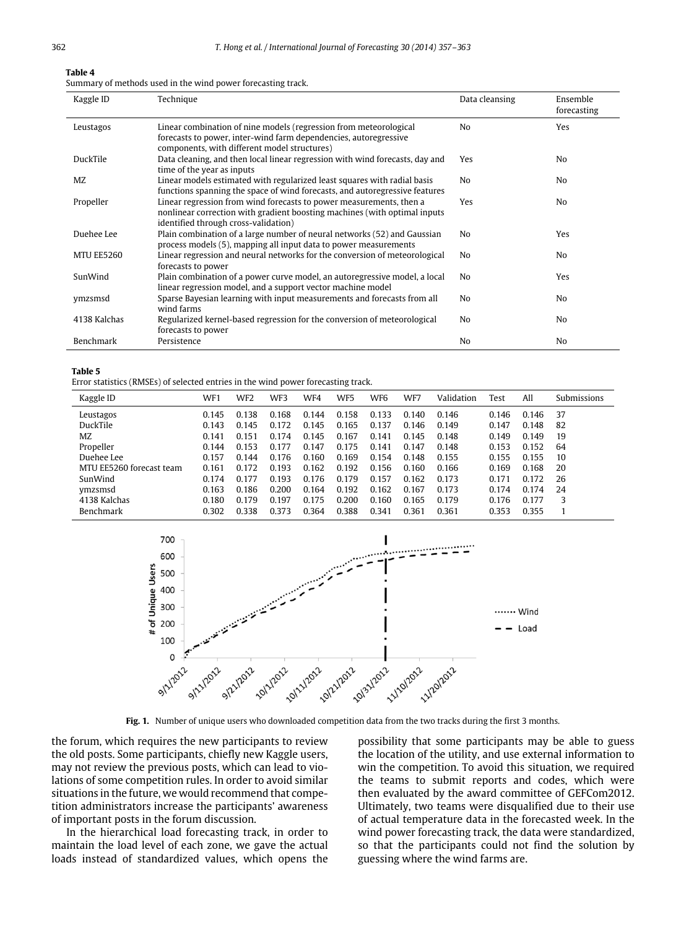#### <span id="page-5-0"></span>**Table 4**

Summary of methods used in the wind power forecasting track.

| Kaggle ID    | Technique                                                                                                                                                                                 | Data cleansing | Ensemble<br>forecasting |
|--------------|-------------------------------------------------------------------------------------------------------------------------------------------------------------------------------------------|----------------|-------------------------|
| Leustagos    | Linear combination of nine models (regression from meteorological<br>forecasts to power, inter-wind farm dependencies, autoregressive<br>components, with different model structures)     | No.            | Yes                     |
| DuckTile     | Data cleaning, and then local linear regression with wind forecasts, day and<br>time of the year as inputs                                                                                | Yes            | No.                     |
| MZ           | Linear models estimated with regularized least squares with radial basis<br>functions spanning the space of wind forecasts, and autoregressive features                                   | No.            | No.                     |
| Propeller    | Linear regression from wind forecasts to power measurements, then a<br>nonlinear correction with gradient boosting machines (with optimal inputs)<br>identified through cross-validation) | Yes            | No.                     |
| Duehee Lee   | Plain combination of a large number of neural networks (52) and Gaussian<br>process models (5), mapping all input data to power measurements                                              | No.            | Yes                     |
| MTU EE5260   | Linear regression and neural networks for the conversion of meteorological<br>forecasts to power                                                                                          | No.            | No.                     |
| SunWind      | Plain combination of a power curve model, an autoregressive model, a local<br>linear regression model, and a support vector machine model                                                 | No.            | Yes                     |
| ymzsmsd      | Sparse Bayesian learning with input measurements and forecasts from all<br>wind farms                                                                                                     | No.            | No.                     |
| 4138 Kalchas | Regularized kernel-based regression for the conversion of meteorological<br>forecasts to power                                                                                            | No             | No                      |
| Benchmark    | Persistence                                                                                                                                                                               | No             | No                      |

#### <span id="page-5-1"></span>**Table 5**

Error statistics (RMSEs) of selected entries in the wind power forecasting track.

| Kaggle ID                | WF1   | WF <sub>2</sub> | WF3   | WF4   | WF <sub>5</sub> | WF <sub>6</sub> | WF7   | Validation | Test  | All             | Submissions |
|--------------------------|-------|-----------------|-------|-------|-----------------|-----------------|-------|------------|-------|-----------------|-------------|
| Leustagos                | 0.145 | 0.138           | 0.168 | 0.144 | 0.158           | 0.133           | 0.140 | 0.146      | 0.146 | 146<br>$\Omega$ | 37          |
| DuckTile                 | 0.143 | 0.145           | 0.172 | 0.145 | 0.165           | 0.137           | 0.146 | 0.149      | 0.147 | 0.148           | 82          |
| MZ                       | 0.141 | 0.151           | 0.174 | 0.145 | 0.167           | 0.141           | 0.145 | 0.148      | 0.149 | 0.149           | 19          |
| Propeller                | 0.144 | 0.153           | 0.177 | 0.147 | 0.175           | 0.141           | 0.147 | 0.148      | 0.153 | 0.152           | 64          |
| Duehee Lee               | 0.157 | 0.144           | 0.176 | 0.160 | 0.169           | 0.154           | 0.148 | 0.155      | 0.155 | 0.155           | 10          |
| MTU EE5260 forecast team | 0.161 | 0.172           | 0.193 | 0.162 | 0.192           | 0.156           | 0.160 | 0.166      | 0.169 | 0.168           | 20          |
| SunWind                  | 0.174 | 0.177           | 0.193 | 0.176 | 0.179           | 0.157           | 0.162 | 0.173      | 0.171 | 0.172           | 26          |
| ymzsmsd                  | 0.163 | 0.186           | 0.200 | 0.164 | 0.192           | 0.162           | 0.167 | 0.173      | 0.174 | 0.174           | 24          |
| 4138 Kalchas             | 0.180 | 0.179           | 0.197 | 0.175 | 0.200           | 0.160           | 0.165 | 0.179      | 0.176 | 0.177           | 3           |
| Benchmark                | 0.302 | 0.338           | 0.373 | 0.364 | 0.388           | 0.341           | 0.361 | 0.361      | 0.353 | 0.355           |             |

<span id="page-5-2"></span>

Fig. 1. Number of unique users who downloaded competition data from the two tracks during the first 3 months.

the forum, which requires the new participants to review the old posts. Some participants, chiefly new Kaggle users, may not review the previous posts, which can lead to violations of some competition rules. In order to avoid similar situations in the future, we would recommend that competition administrators increase the participants' awareness of important posts in the forum discussion.

In the hierarchical load forecasting track, in order to maintain the load level of each zone, we gave the actual loads instead of standardized values, which opens the

possibility that some participants may be able to guess the location of the utility, and use external information to win the competition. To avoid this situation, we required the teams to submit reports and codes, which were then evaluated by the award committee of GEFCom2012. Ultimately, two teams were disqualified due to their use of actual temperature data in the forecasted week. In the wind power forecasting track, the data were standardized, so that the participants could not find the solution by guessing where the wind farms are.